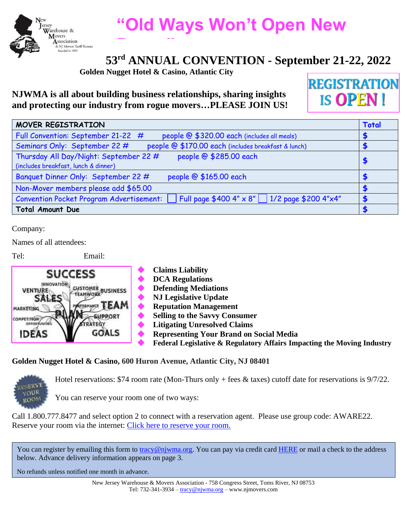

# **"Old Ways Won't Open New**

# **53rd ANNUAL CONVENTION - September 21-22, 2022 Doors"**

**Golden Nugget Hotel & Casino, Atlantic City**

## **NJWMA is all about building business relationships, sharing insights and protecting our industry from rogue movers…PLEASE JOIN US!**

**REGISTRATION IS OPEN!** 

| MOVER REGISTRATION                                                                                                | <b>Total</b> |
|-------------------------------------------------------------------------------------------------------------------|--------------|
| Full Convention: September 21-22 #<br>people @ \$320.00 each (includes all meals)                                 |              |
| people @ \$170.00 each (includes breakfast & lunch)<br>Seminars Only: September 22 #                              |              |
| people @ \$285.00 each<br>Thursday All Day/Night: September 22 #                                                  |              |
| (includes breakfast, lunch & dinner)                                                                              | \$           |
| people @ \$165.00 each<br>Banquet Dinner Only: September 22 #                                                     |              |
| Non-Mover members please add \$65.00                                                                              |              |
| Full page \$400 4" $\times$ 8"   1/2 page \$200 4" $\times$ 4"<br><b>Convention Pocket Program Advertisement:</b> |              |
| <b>Total Amount Due</b>                                                                                           |              |

Company:

Names of all attendees:

Tel: Email:

|                                                                 | <b>Claims Liability</b>                                                |
|-----------------------------------------------------------------|------------------------------------------------------------------------|
| <b>SUCCESS</b>                                                  | <b>DCA Regulations</b>                                                 |
| <b>INNOVATION</b><br><b>CUSTOMER BUSINESS</b><br><b>VENTURE</b> | <b>Defending Mediations</b>                                            |
| <b>TEAMWORK</b><br>SALES                                        | <b>NJ Legislative Update</b>                                           |
| <b>TEAM</b><br>MARKETING                                        | <b>Reputation Management</b>                                           |
| <b>WPPORT</b><br>COMPETITION                                    | <b>Selling to the Savvy Consumer</b>                                   |
| <b>OPPORTUNITIES</b>                                            | <b>Litigating Unresolved Claims</b>                                    |
| <b>GOALS</b><br><b>IDEAS</b>                                    | <b>Representing Your Brand on Social Media</b>                         |
|                                                                 | Federal Legislative & Regulatory Affairs Impacting the Moving Industry |

### **Golden Nugget Hotel & Casino, 600 Huron Avenue, Atlantic City, NJ 08401**



Hotel reservations: \$74 room rate (Mon-Thurs only + fees & taxes) cutoff date for reservations is 9/7/22.

You can reserve your room one of two ways:

Call 1.800.777.8477 and select option 2 to connect with a reservation agent. Please use group code: AWARE22. Reserve your room via the internet: [Click here to reserve your room.](https://atlanticcity-reservations.goldennugget.com/classic/en/special_offer?action=show&controller=landings&locale=en&rate_code%5b%5d=AWARE22&rate_code%5b%5d=AWARE22&starting_page=special_offer)

You can register by emailing this form to [tracy@njwma.org.](mailto:tracy@njwma.org) You can pay via credit card [HERE](https://njmovers.com/make-a-payment/) or mail a check to the address below. Advance delivery information appears on page 3.

No refunds unless notified one month in advance.